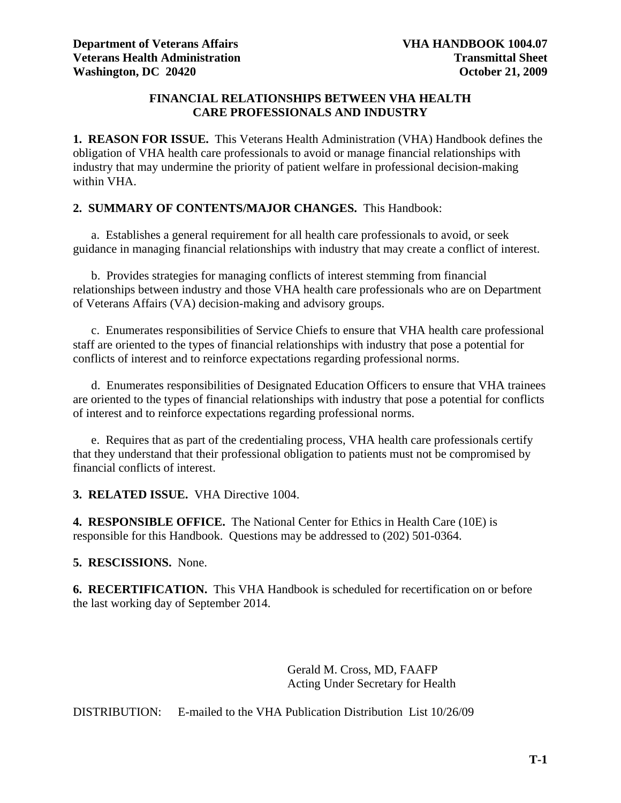## **FINANCIAL RELATIONSHIPS BETWEEN VHA HEALTH CARE PROFESSIONALS AND INDUSTRY**

**1. REASON FOR ISSUE.** This Veterans Health Administration (VHA) Handbook defines the obligation of VHA health care professionals to avoid or manage financial relationships with industry that may undermine the priority of patient welfare in professional decision-making within VHA.

## **2. SUMMARY OF CONTENTS/MAJOR CHANGES.** This Handbook:

 a. Establishes a general requirement for all health care professionals to avoid, or seek guidance in managing financial relationships with industry that may create a conflict of interest.

 b. Provides strategies for managing conflicts of interest stemming from financial relationships between industry and those VHA health care professionals who are on Department of Veterans Affairs (VA) decision-making and advisory groups.

 c. Enumerates responsibilities of Service Chiefs to ensure that VHA health care professional staff are oriented to the types of financial relationships with industry that pose a potential for conflicts of interest and to reinforce expectations regarding professional norms.

 d. Enumerates responsibilities of Designated Education Officers to ensure that VHA trainees are oriented to the types of financial relationships with industry that pose a potential for conflicts of interest and to reinforce expectations regarding professional norms.

 e. Requires that as part of the credentialing process, VHA health care professionals certify that they understand that their professional obligation to patients must not be compromised by financial conflicts of interest.

**3. RELATED ISSUE.** VHA Directive 1004.

**4. RESPONSIBLE OFFICE.** The National Center for Ethics in Health Care (10E) is responsible for this Handbook. Questions may be addressed to (202) 501-0364.

## **5. RESCISSIONS.** None.

**6. RECERTIFICATION.** This VHA Handbook is scheduled for recertification on or before the last working day of September 2014.

> Gerald M. Cross, MD, FAAFP Acting Under Secretary for Health

DISTRIBUTION: E-mailed to the VHA Publication Distribution List 10/26/09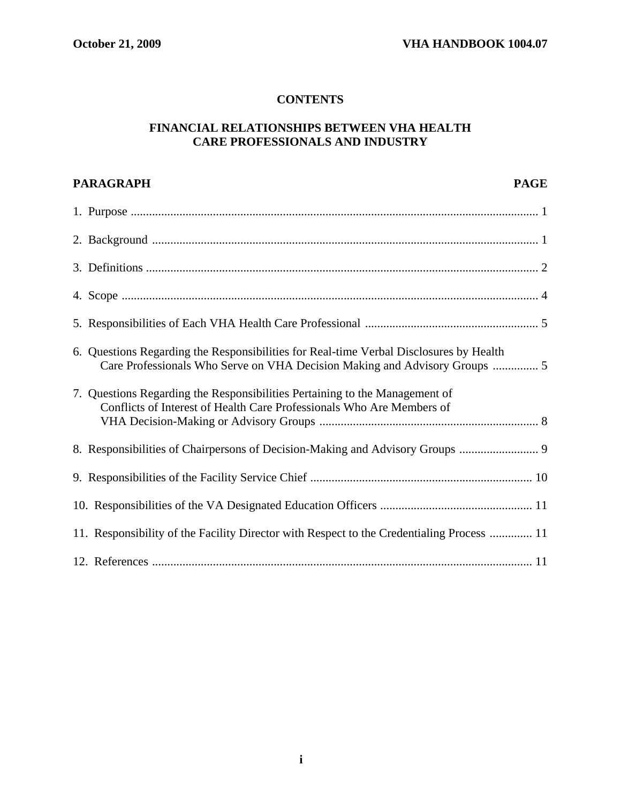# **CONTENTS**

# **FINANCIAL RELATIONSHIPS BETWEEN VHA HEALTH CARE PROFESSIONALS AND INDUSTRY**

| <b>PARAGRAPH</b><br><b>PAGE</b>                                                                                                                                      |  |
|----------------------------------------------------------------------------------------------------------------------------------------------------------------------|--|
|                                                                                                                                                                      |  |
|                                                                                                                                                                      |  |
|                                                                                                                                                                      |  |
|                                                                                                                                                                      |  |
|                                                                                                                                                                      |  |
| 6. Questions Regarding the Responsibilities for Real-time Verbal Disclosures by Health<br>Care Professionals Who Serve on VHA Decision Making and Advisory Groups  5 |  |
| 7. Questions Regarding the Responsibilities Pertaining to the Management of<br>Conflicts of Interest of Health Care Professionals Who Are Members of                 |  |
| 8. Responsibilities of Chairpersons of Decision-Making and Advisory Groups  9                                                                                        |  |
|                                                                                                                                                                      |  |
|                                                                                                                                                                      |  |
| 11. Responsibility of the Facility Director with Respect to the Credentialing Process  11                                                                            |  |
|                                                                                                                                                                      |  |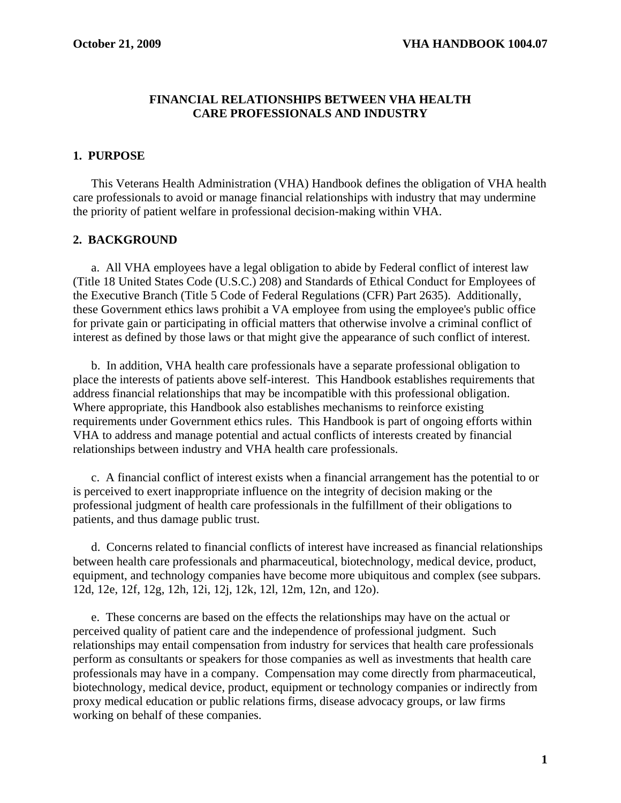## **FINANCIAL RELATIONSHIPS BETWEEN VHA HEALTH CARE PROFESSIONALS AND INDUSTRY**

# **1. PURPOSE**

 This Veterans Health Administration (VHA) Handbook defines the obligation of VHA health care professionals to avoid or manage financial relationships with industry that may undermine the priority of patient welfare in professional decision-making within VHA.

# **2. BACKGROUND**

 a. All VHA employees have a legal obligation to abide by Federal conflict of interest law (Title 18 United States Code (U.S.C.) 208) and Standards of Ethical Conduct for Employees of the Executive Branch (Title 5 Code of Federal Regulations (CFR) Part 2635). Additionally, these Government ethics laws prohibit a VA employee from using the employee's public office for private gain or participating in official matters that otherwise involve a criminal conflict of interest as defined by those laws or that might give the appearance of such conflict of interest.

 b. In addition, VHA health care professionals have a separate professional obligation to place the interests of patients above self-interest. This Handbook establishes requirements that address financial relationships that may be incompatible with this professional obligation. Where appropriate, this Handbook also establishes mechanisms to reinforce existing requirements under Government ethics rules. This Handbook is part of ongoing efforts within VHA to address and manage potential and actual conflicts of interests created by financial relationships between industry and VHA health care professionals.

 c. A financial conflict of interest exists when a financial arrangement has the potential to or is perceived to exert inappropriate influence on the integrity of decision making or the professional judgment of health care professionals in the fulfillment of their obligations to patients, and thus damage public trust.

 d. Concerns related to financial conflicts of interest have increased as financial relationships between health care professionals and pharmaceutical, biotechnology, medical device, product, equipment, and technology companies have become more ubiquitous and complex (see subpars. 12d, 12e, 12f, 12g, 12h, 12i, 12j, 12k, 12l, 12m, 12n, and 12o).

 e. These concerns are based on the effects the relationships may have on the actual or perceived quality of patient care and the independence of professional judgment. Such relationships may entail compensation from industry for services that health care professionals perform as consultants or speakers for those companies as well as investments that health care professionals may have in a company. Compensation may come directly from pharmaceutical, biotechnology, medical device, product, equipment or technology companies or indirectly from proxy medical education or public relations firms, disease advocacy groups, or law firms working on behalf of these companies.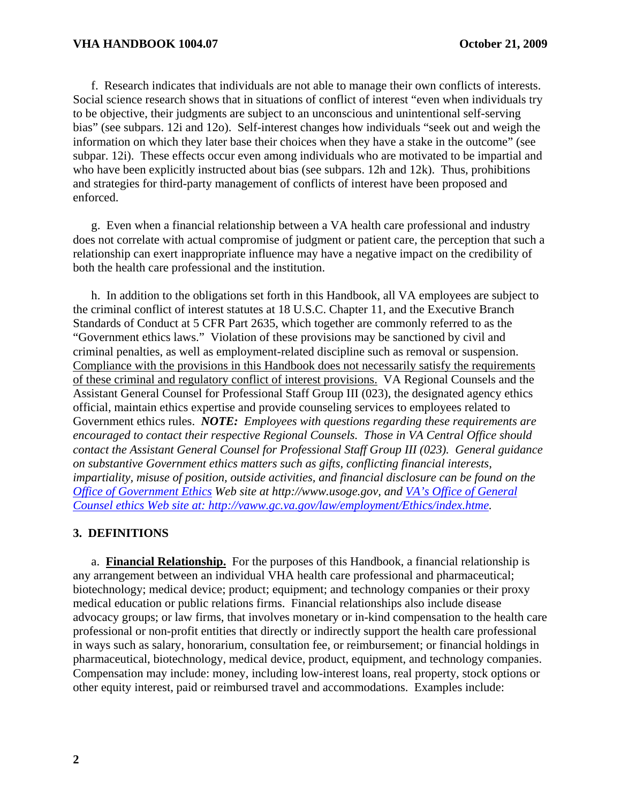f. Research indicates that individuals are not able to manage their own conflicts of interests. Social science research shows that in situations of conflict of interest "even when individuals try to be objective, their judgments are subject to an unconscious and unintentional self-serving bias" (see subpars. 12i and 12o). Self-interest changes how individuals "seek out and weigh the information on which they later base their choices when they have a stake in the outcome" (see subpar. 12i). These effects occur even among individuals who are motivated to be impartial and who have been explicitly instructed about bias (see subpars. 12h and 12k). Thus, prohibitions and strategies for third-party management of conflicts of interest have been proposed and enforced.

 g. Even when a financial relationship between a VA health care professional and industry does not correlate with actual compromise of judgment or patient care, the perception that such a relationship can exert inappropriate influence may have a negative impact on the credibility of both the health care professional and the institution.

 h. In addition to the obligations set forth in this Handbook, all VA employees are subject to the criminal conflict of interest statutes at 18 U.S.C. Chapter 11, and the Executive Branch Standards of Conduct at 5 CFR Part 2635, which together are commonly referred to as the "Government ethics laws." Violation of these provisions may be sanctioned by civil and criminal penalties, as well as employment-related discipline such as removal or suspension. Compliance with the provisions in this Handbook does not necessarily satisfy the requirements of these criminal and regulatory conflict of interest provisions. VA Regional Counsels and the Assistant General Counsel for Professional Staff Group III (023), the designated agency ethics official, maintain ethics expertise and provide counseling services to employees related to Government ethics rules. *NOTE: Employees with questions regarding these requirements are encouraged to contact their respective Regional Counsels. Those in VA Central Office should contact the Assistant General Counsel for Professional Staff Group III (023). General guidance on substantive Government ethics matters such as gifts, conflicting financial interests, impartiality, misuse of position, outside activities, and financial disclosure can be found on the [Office of Government Ethics](http://www.usoge.gov/pages/common_ethics_issues/common_ethics_issues.html) Web site at http://www.usoge.gov, and VA's Office of General Counsel ethics Web site at: http://vaww.gc.va.gov/law/employment/Ethics/index.htme.* 

#### **3. DEFINITIONS**

 a. **Financial Relationship.** For the purposes of this Handbook, a financial relationship is any arrangement between an individual VHA health care professional and pharmaceutical; biotechnology; medical device; product; equipment; and technology companies or their proxy medical education or public relations firms. Financial relationships also include disease advocacy groups; or law firms, that involves monetary or in-kind compensation to the health care professional or non-profit entities that directly or indirectly support the health care professional in ways such as salary, honorarium, consultation fee, or reimbursement; or financial holdings in pharmaceutical, biotechnology, medical device, product, equipment, and technology companies. Compensation may include: money, including low-interest loans, real property, stock options or other equity interest, paid or reimbursed travel and accommodations. Examples include: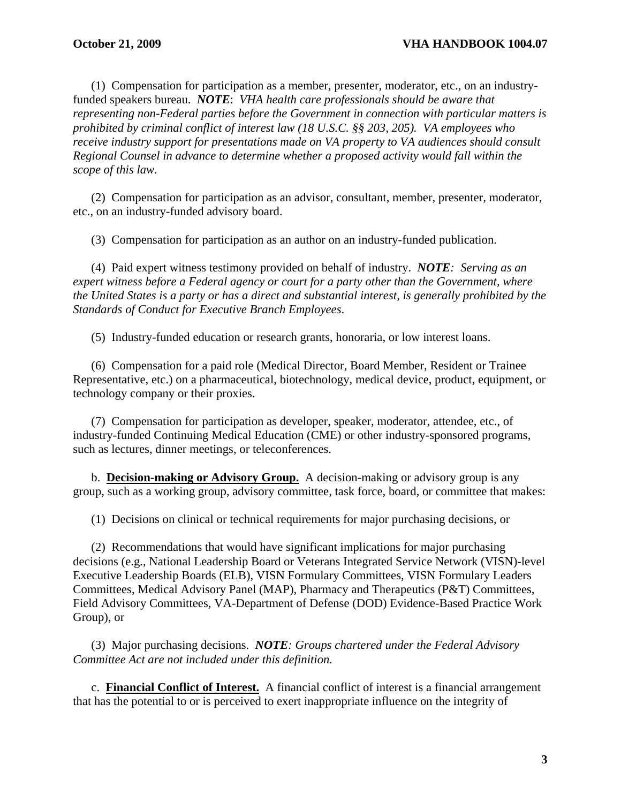(1) Compensation for participation as a member, presenter, moderator, etc., on an industryfunded speakers bureau. *NOTE*: *VHA health care professionals should be aware that representing non-Federal parties before the Government in connection with particular matters is prohibited by criminal conflict of interest law (18 U.S.C. §§ 203, 205). VA employees who receive industry support for presentations made on VA property to VA audiences should consult Regional Counsel in advance to determine whether a proposed activity would fall within the scope of this law.*

 (2) Compensation for participation as an advisor, consultant, member, presenter, moderator, etc., on an industry-funded advisory board.

(3) Compensation for participation as an author on an industry-funded publication.

 (4) Paid expert witness testimony provided on behalf of industry. *NOTE: Serving as an expert witness before a Federal agency or court for a party other than the Government, where the United States is a party or has a direct and substantial interest, is generally prohibited by the Standards of Conduct for Executive Branch Employees*.

(5) Industry-funded education or research grants, honoraria, or low interest loans.

 (6) Compensation for a paid role (Medical Director, Board Member, Resident or Trainee Representative, etc.) on a pharmaceutical, biotechnology, medical device, product, equipment, or technology company or their proxies.

 (7) Compensation for participation as developer, speaker, moderator, attendee, etc., of industry-funded Continuing Medical Education (CME) or other industry-sponsored programs, such as lectures, dinner meetings, or teleconferences.

 b. **Decision-making or Advisory Group.** A decision-making or advisory group is any group, such as a working group, advisory committee, task force, board, or committee that makes:

(1) Decisions on clinical or technical requirements for major purchasing decisions, or

 (2) Recommendations that would have significant implications for major purchasing decisions (e.g., National Leadership Board or Veterans Integrated Service Network (VISN)-level Executive Leadership Boards (ELB), VISN Formulary Committees, VISN Formulary Leaders Committees, Medical Advisory Panel (MAP), Pharmacy and Therapeutics (P&T) Committees, Field Advisory Committees, VA-Department of Defense (DOD) Evidence-Based Practice Work Group), or

 (3) Major purchasing decisions. *NOTE: Groups chartered under the Federal Advisory Committee Act are not included under this definition.* 

c. **Financial Conflict of Interest.** A financial conflict of interest is a financial arrangement that has the potential to or is perceived to exert inappropriate influence on the integrity of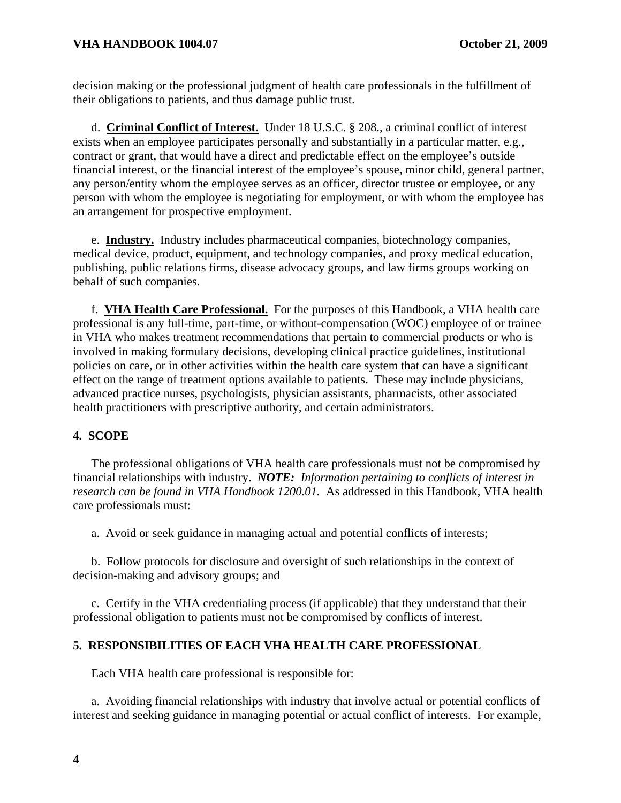decision making or the professional judgment of health care professionals in the fulfillment of their obligations to patients, and thus damage public trust.

d. **Criminal Conflict of Interest.** Under 18 U.S.C. § 208., a criminal conflict of interest exists when an employee participates personally and substantially in a particular matter, e.g., contract or grant, that would have a direct and predictable effect on the employee's outside financial interest, or the financial interest of the employee's spouse, minor child, general partner, any person/entity whom the employee serves as an officer, director trustee or employee, or any person with whom the employee is negotiating for employment, or with whom the employee has an arrangement for prospective employment.

e. **Industry.** Industry includes pharmaceutical companies, biotechnology companies, medical device, product, equipment, and technology companies, and proxy medical education, publishing, public relations firms, disease advocacy groups, and law firms groups working on behalf of such companies.

f. **VHA Health Care Professional.** For the purposes of this Handbook, a VHA health care professional is any full-time, part-time, or without-compensation (WOC) employee of or trainee in VHA who makes treatment recommendations that pertain to commercial products or who is involved in making formulary decisions, developing clinical practice guidelines, institutional policies on care, or in other activities within the health care system that can have a significant effect on the range of treatment options available to patients. These may include physicians, advanced practice nurses, psychologists, physician assistants, pharmacists, other associated health practitioners with prescriptive authority, and certain administrators.

## **4. SCOPE**

 The professional obligations of VHA health care professionals must not be compromised by financial relationships with industry. *NOTE: Information pertaining to conflicts of interest in research can be found in VHA Handbook 1200.01.* As addressed in this Handbook, VHA health care professionals must:

a. Avoid or seek guidance in managing actual and potential conflicts of interests;

 b. Follow protocols for disclosure and oversight of such relationships in the context of decision-making and advisory groups; and

 c. Certify in the VHA credentialing process (if applicable) that they understand that their professional obligation to patients must not be compromised by conflicts of interest.

### **5. RESPONSIBILITIES OF EACH VHA HEALTH CARE PROFESSIONAL**

Each VHA health care professional is responsible for:

 a. Avoiding financial relationships with industry that involve actual or potential conflicts of interest and seeking guidance in managing potential or actual conflict of interests. For example,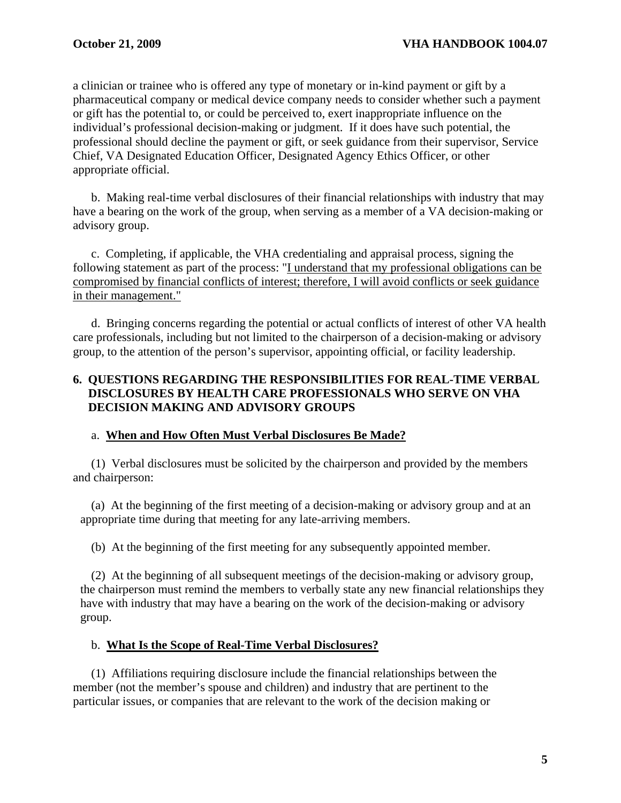a clinician or trainee who is offered any type of monetary or in-kind payment or gift by a pharmaceutical company or medical device company needs to consider whether such a payment or gift has the potential to, or could be perceived to, exert inappropriate influence on the individual's professional decision-making or judgment. If it does have such potential, the professional should decline the payment or gift, or seek guidance from their supervisor, Service Chief, VA Designated Education Officer, Designated Agency Ethics Officer, or other appropriate official.

 b. Making real-time verbal disclosures of their financial relationships with industry that may have a bearing on the work of the group, when serving as a member of a VA decision-making or advisory group.

 c. Completing, if applicable, the VHA credentialing and appraisal process, signing the following statement as part of the process: "I understand that my professional obligations can be compromised by financial conflicts of interest; therefore, I will avoid conflicts or seek guidance in their management."

 d. Bringing concerns regarding the potential or actual conflicts of interest of other VA health care professionals, including but not limited to the chairperson of a decision-making or advisory group, to the attention of the person's supervisor, appointing official, or facility leadership.

## **6. QUESTIONS REGARDING THE RESPONSIBILITIES FOR REAL-TIME VERBAL DISCLOSURES BY HEALTH CARE PROFESSIONALS WHO SERVE ON VHA DECISION MAKING AND ADVISORY GROUPS**

### a. **When and How Often Must Verbal Disclosures Be Made?**

 (1) Verbal disclosures must be solicited by the chairperson and provided by the members and chairperson:

 (a) At the beginning of the first meeting of a decision-making or advisory group and at an appropriate time during that meeting for any late-arriving members.

(b) At the beginning of the first meeting for any subsequently appointed member.

 (2) At the beginning of all subsequent meetings of the decision-making or advisory group, the chairperson must remind the members to verbally state any new financial relationships they have with industry that may have a bearing on the work of the decision-making or advisory group.

#### b. **What Is the Scope of Real-Time Verbal Disclosures?**

 (1) Affiliations requiring disclosure include the financial relationships between the member (not the member's spouse and children) and industry that are pertinent to the particular issues, or companies that are relevant to the work of the decision making or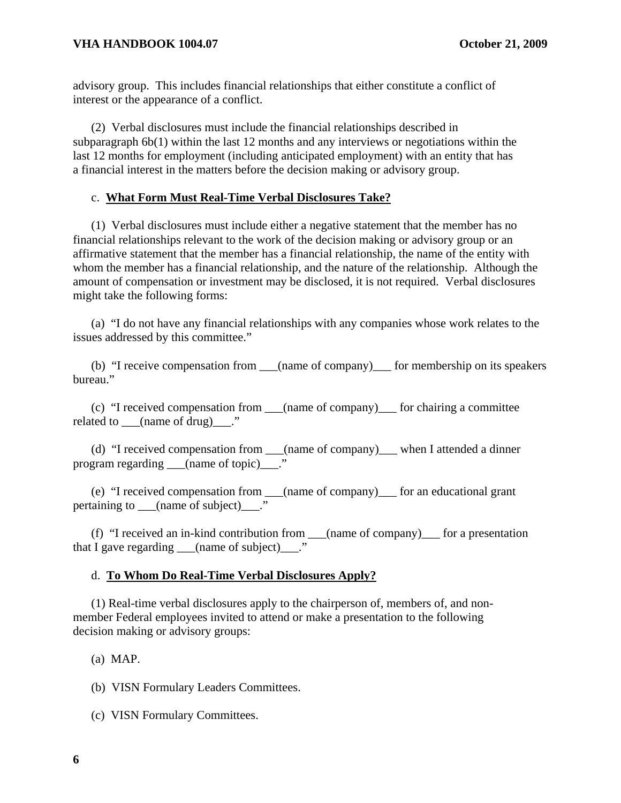advisory group. This includes financial relationships that either constitute a conflict of interest or the appearance of a conflict.

 (2) Verbal disclosures must include the financial relationships described in subparagraph 6b(1) within the last 12 months and any interviews or negotiations within the last 12 months for employment (including anticipated employment) with an entity that has a financial interest in the matters before the decision making or advisory group.

#### c. **What Form Must Real-Time Verbal Disclosures Take?**

 (1) Verbal disclosures must include either a negative statement that the member has no financial relationships relevant to the work of the decision making or advisory group or an affirmative statement that the member has a financial relationship, the name of the entity with whom the member has a financial relationship, and the nature of the relationship. Although the amount of compensation or investment may be disclosed, it is not required. Verbal disclosures might take the following forms:

 (a) "I do not have any financial relationships with any companies whose work relates to the issues addressed by this committee."

(b) "I receive compensation from (name of company) for membership on its speakers bureau."

 (c) "I received compensation from \_\_\_(name of company)\_\_\_ for chairing a committee related to  $(\text{name of drug})$ ."

 (d) "I received compensation from \_\_\_(name of company)\_\_\_ when I attended a dinner program regarding \_\_\_(name of topic) \_\_."

 (e) "I received compensation from \_\_\_(name of company)\_\_\_ for an educational grant pertaining to  $\qquad$  (name of subject)  $\qquad$ ."

 (f) "I received an in-kind contribution from \_\_\_(name of company)\_\_\_ for a presentation that I gave regarding  $\qquad$  (name of subject)  $\qquad$ ."

#### d. **To Whom Do Real-Time Verbal Disclosures Apply?**

 (1) Real-time verbal disclosures apply to the chairperson of, members of, and nonmember Federal employees invited to attend or make a presentation to the following decision making or advisory groups:

(a) MAP.

(b) VISN Formulary Leaders Committees.

(c) VISN Formulary Committees.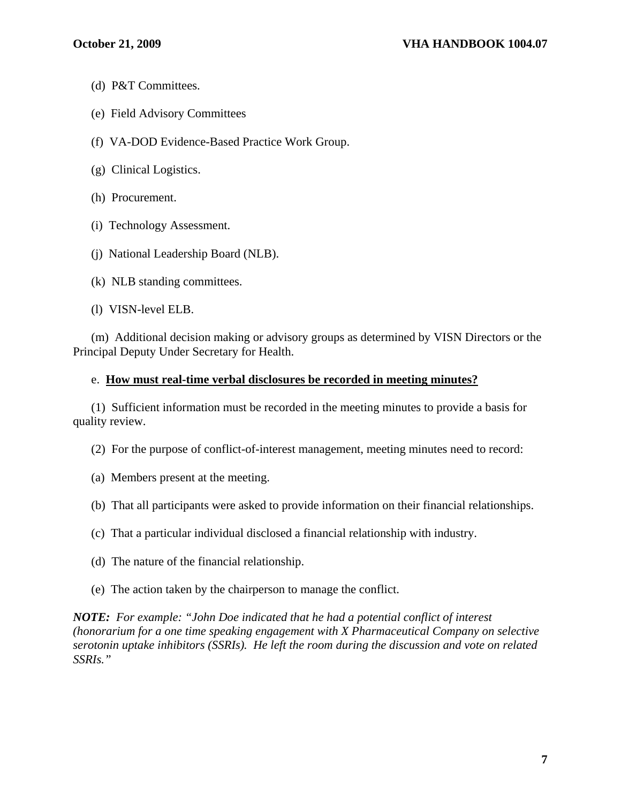- (d) P&T Committees.
- (e) Field Advisory Committees
- (f) VA-DOD Evidence-Based Practice Work Group.
- (g) Clinical Logistics.
- (h) Procurement.
- (i) Technology Assessment.
- (j) National Leadership Board (NLB).
- (k) NLB standing committees.
- (l) VISN-level ELB.

 (m) Additional decision making or advisory groups as determined by VISN Directors or the Principal Deputy Under Secretary for Health.

#### e. **How must real-time verbal disclosures be recorded in meeting minutes?**

 (1) Sufficient information must be recorded in the meeting minutes to provide a basis for quality review.

(2) For the purpose of conflict-of-interest management, meeting minutes need to record:

(a) Members present at the meeting.

(b) That all participants were asked to provide information on their financial relationships.

- (c) That a particular individual disclosed a financial relationship with industry.
- (d) The nature of the financial relationship.
- (e) The action taken by the chairperson to manage the conflict.

*NOTE: For example: "John Doe indicated that he had a potential conflict of interest (honorarium for a one time speaking engagement with X Pharmaceutical Company on selective serotonin uptake inhibitors (SSRIs). He left the room during the discussion and vote on related SSRIs."*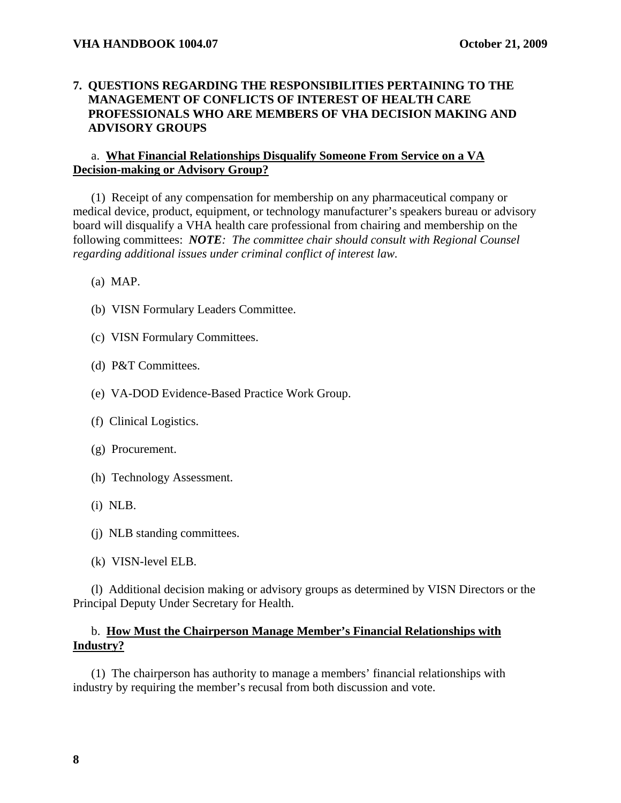## **7. QUESTIONS REGARDING THE RESPONSIBILITIES PERTAINING TO THE MANAGEMENT OF CONFLICTS OF INTEREST OF HEALTH CARE PROFESSIONALS WHO ARE MEMBERS OF VHA DECISION MAKING AND ADVISORY GROUPS**

## a. **What Financial Relationships Disqualify Someone From Service on a VA Decision-making or Advisory Group?**

 (1) Receipt of any compensation for membership on any pharmaceutical company or medical device, product, equipment, or technology manufacturer's speakers bureau or advisory board will disqualify a VHA health care professional from chairing and membership on the following committees: *NOTE: The committee chair should consult with Regional Counsel regarding additional issues under criminal conflict of interest law.*

- (a) MAP.
- (b) VISN Formulary Leaders Committee.
- (c) VISN Formulary Committees.
- (d) P&T Committees.
- (e) VA-DOD Evidence-Based Practice Work Group.
- (f) Clinical Logistics.
- (g) Procurement.
- (h) Technology Assessment.
- (i) NLB.
- (j) NLB standing committees.
- (k) VISN-level ELB.

 (l) Additional decision making or advisory groups as determined by VISN Directors or the Principal Deputy Under Secretary for Health.

## b. **How Must the Chairperson Manage Member's Financial Relationships with Industry?**

 (1) The chairperson has authority to manage a members' financial relationships with industry by requiring the member's recusal from both discussion and vote.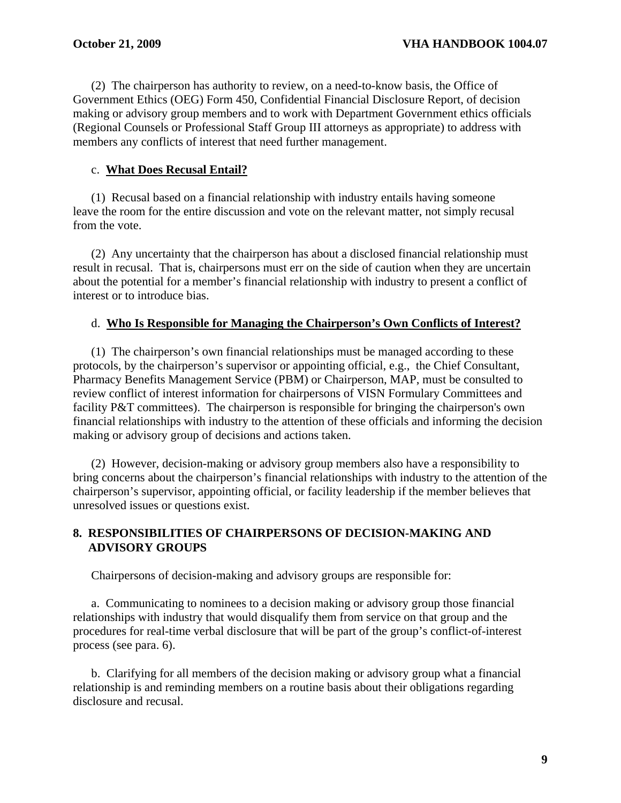(2) The chairperson has authority to review, on a need-to-know basis, the Office of Government Ethics (OEG) Form 450, Confidential Financial Disclosure Report, of decision making or advisory group members and to work with Department Government ethics officials (Regional Counsels or Professional Staff Group III attorneys as appropriate) to address with members any conflicts of interest that need further management.

## c. **What Does Recusal Entail?**

 (1) Recusal based on a financial relationship with industry entails having someone leave the room for the entire discussion and vote on the relevant matter, not simply recusal from the vote.

 (2) Any uncertainty that the chairperson has about a disclosed financial relationship must result in recusal. That is, chairpersons must err on the side of caution when they are uncertain about the potential for a member's financial relationship with industry to present a conflict of interest or to introduce bias.

### d. **Who Is Responsible for Managing the Chairperson's Own Conflicts of Interest?**

 (1) The chairperson's own financial relationships must be managed according to these protocols, by the chairperson's supervisor or appointing official, e.g., the Chief Consultant, Pharmacy Benefits Management Service (PBM) or Chairperson, MAP, must be consulted to review conflict of interest information for chairpersons of VISN Formulary Committees and facility P&T committees). The chairperson is responsible for bringing the chairperson's own financial relationships with industry to the attention of these officials and informing the decision making or advisory group of decisions and actions taken.

 (2) However, decision-making or advisory group members also have a responsibility to bring concerns about the chairperson's financial relationships with industry to the attention of the chairperson's supervisor, appointing official, or facility leadership if the member believes that unresolved issues or questions exist.

## **8. RESPONSIBILITIES OF CHAIRPERSONS OF DECISION-MAKING AND ADVISORY GROUPS**

Chairpersons of decision-making and advisory groups are responsible for:

 a. Communicating to nominees to a decision making or advisory group those financial relationships with industry that would disqualify them from service on that group and the procedures for real-time verbal disclosure that will be part of the group's conflict-of-interest process (see para. 6).

 b. Clarifying for all members of the decision making or advisory group what a financial relationship is and reminding members on a routine basis about their obligations regarding disclosure and recusal.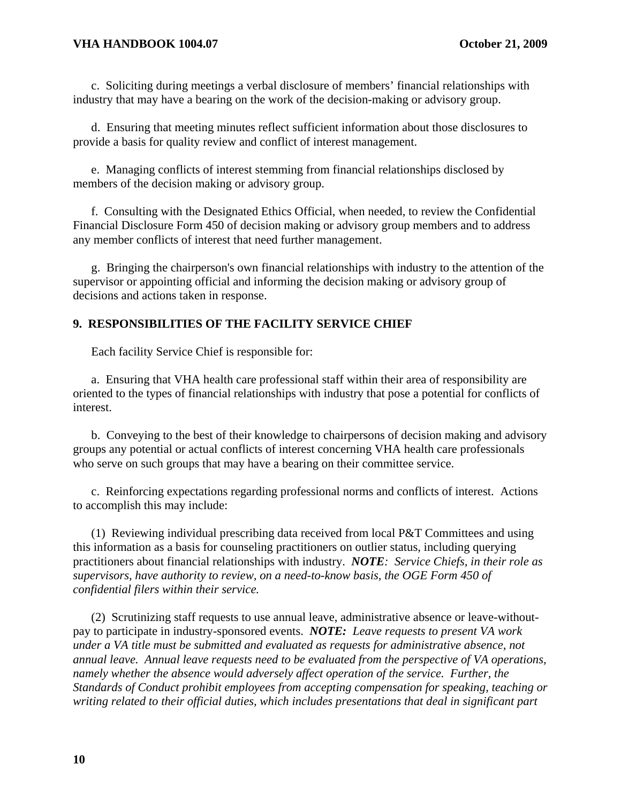c. Soliciting during meetings a verbal disclosure of members' financial relationships with industry that may have a bearing on the work of the decision-making or advisory group.

 d. Ensuring that meeting minutes reflect sufficient information about those disclosures to provide a basis for quality review and conflict of interest management.

 e. Managing conflicts of interest stemming from financial relationships disclosed by members of the decision making or advisory group.

 f. Consulting with the Designated Ethics Official, when needed, to review the Confidential Financial Disclosure Form 450 of decision making or advisory group members and to address any member conflicts of interest that need further management.

 g. Bringing the chairperson's own financial relationships with industry to the attention of the supervisor or appointing official and informing the decision making or advisory group of decisions and actions taken in response.

## **9. RESPONSIBILITIES OF THE FACILITY SERVICE CHIEF**

Each facility Service Chief is responsible for:

 a. Ensuring that VHA health care professional staff within their area of responsibility are oriented to the types of financial relationships with industry that pose a potential for conflicts of interest.

 b. Conveying to the best of their knowledge to chairpersons of decision making and advisory groups any potential or actual conflicts of interest concerning VHA health care professionals who serve on such groups that may have a bearing on their committee service.

 c. Reinforcing expectations regarding professional norms and conflicts of interest. Actions to accomplish this may include:

 (1) Reviewing individual prescribing data received from local P&T Committees and using this information as a basis for counseling practitioners on outlier status, including querying practitioners about financial relationships with industry. *NOTE: Service Chiefs, in their role as supervisors, have authority to review, on a need-to-know basis, the OGE Form 450 of confidential filers within their service.*

 (2) Scrutinizing staff requests to use annual leave, administrative absence or leave-withoutpay to participate in industry-sponsored events. *NOTE: Leave requests to present VA work under a VA title must be submitted and evaluated as requests for administrative absence, not annual leave. Annual leave requests need to be evaluated from the perspective of VA operations, namely whether the absence would adversely affect operation of the service. Further, the Standards of Conduct prohibit employees from accepting compensation for speaking, teaching or writing related to their official duties, which includes presentations that deal in significant part*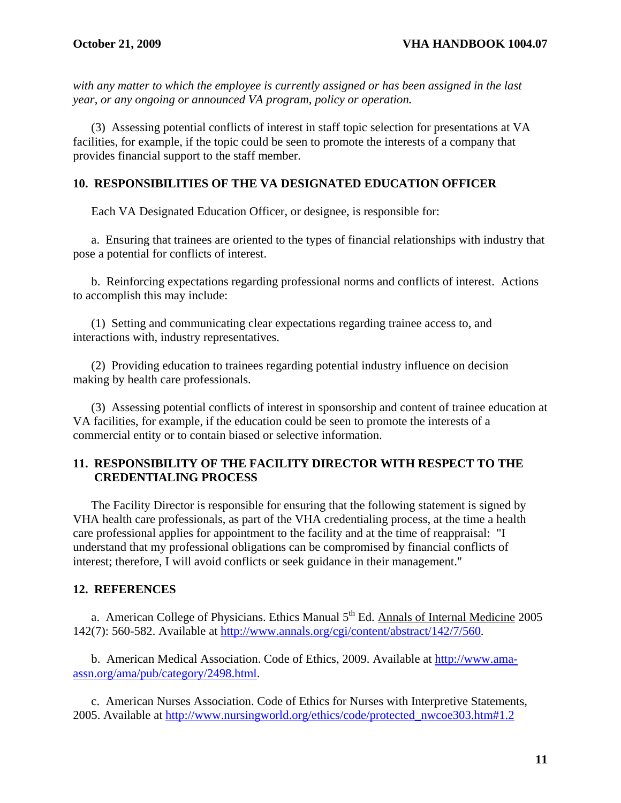*with any matter to which the employee is currently assigned or has been assigned in the last year, or any ongoing or announced VA program, policy or operation.* 

 (3) Assessing potential conflicts of interest in staff topic selection for presentations at VA facilities, for example, if the topic could be seen to promote the interests of a company that provides financial support to the staff member.

## **10. RESPONSIBILITIES OF THE VA DESIGNATED EDUCATION OFFICER**

Each VA Designated Education Officer, or designee, is responsible for:

 a. Ensuring that trainees are oriented to the types of financial relationships with industry that pose a potential for conflicts of interest.

 b. Reinforcing expectations regarding professional norms and conflicts of interest. Actions to accomplish this may include:

 (1) Setting and communicating clear expectations regarding trainee access to, and interactions with, industry representatives.

 (2) Providing education to trainees regarding potential industry influence on decision making by health care professionals.

 (3) Assessing potential conflicts of interest in sponsorship and content of trainee education at VA facilities, for example, if the education could be seen to promote the interests of a commercial entity or to contain biased or selective information.

## **11. RESPONSIBILITY OF THE FACILITY DIRECTOR WITH RESPECT TO THE CREDENTIALING PROCESS**

 The Facility Director is responsible for ensuring that the following statement is signed by VHA health care professionals, as part of the VHA credentialing process, at the time a health care professional applies for appointment to the facility and at the time of reappraisal: "I understand that my professional obligations can be compromised by financial conflicts of interest; therefore, I will avoid conflicts or seek guidance in their management."

### **12. REFERENCES**

a. American College of Physicians. Ethics Manual  $5<sup>th</sup>$  Ed. Annals of Internal Medicine 2005 142(7): 560-582. Available at <http://www.annals.org/cgi/content/abstract/142/7/560>.

 b. American Medical Association. Code of Ethics, 2009. Available at [http://www.ama](http://www.ama-assn.org/ama/pub/category/2498.html)[assn.org/ama/pub/category/2498.html](http://www.ama-assn.org/ama/pub/category/2498.html).

 c. American Nurses Association. Code of Ethics for Nurses with Interpretive Statements, 2005. Available at [http://www.nursingworld.org/ethics/code/protected\\_nwcoe303.htm#1.2](http://www.nursingworld.org/ethics/code/protected_nwcoe303.htm#1.2)